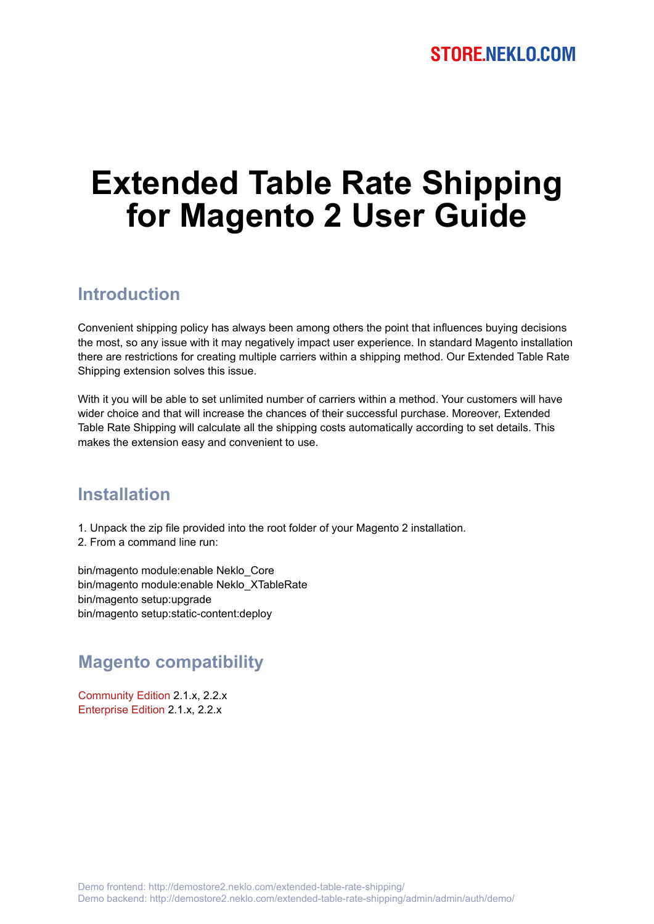# **Extended Table Rate Shipping for Magento 2 User Guide**

## **Introduction**

Convenient shipping policy has always been among others the point that influences buying decisions the most, so any issue with it may negatively impact user experience. In standard Magento installation there are restrictions for creating multiple carriers within a shipping method. Our Extended Table Rate Shipping extension solves this issue.

With it you will be able to set unlimited number of carriers within a method. Your customers will have wider choice and that will increase the chances of their successful purchase. Moreover, Extended Table Rate Shipping will calculate all the shipping costs automatically according to set details. This makes the extension easy and convenient to use.

### **Installation**

- 1. Unpack the zip file provided into the root folder of your Magento 2 installation.
- 2. From a command line run:

bin/magento module:enable Neklo\_Core bin/magento module:enable Neklo\_XTableRate bin/magento setup:upgrade bin/magento setup:static-content:deploy

## **Magento compatibility**

Community Edition 2.1.x, 2.2.x Enterprise Edition 2.1.x, 2.2.x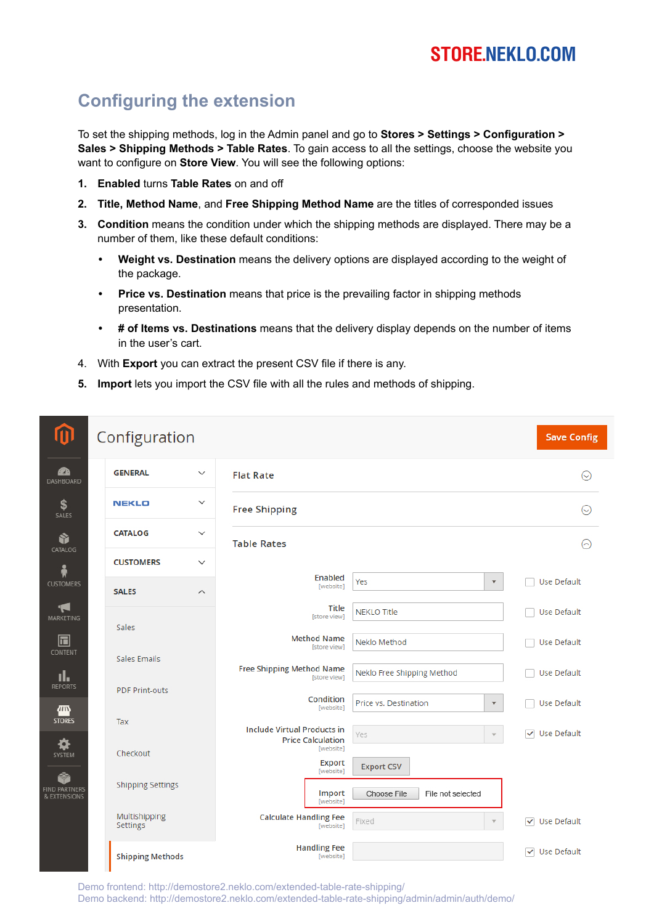# **STORE.NEKLO.COM**

## **Configuring the extension**

To set the shipping methods, log in the Admin panel and go to **Stores > Settings > Configuration > Sales > Shipping Methods > Table Rates**. To gain access to all the settings, choose the website you want to configure on **Store View**. You will see the following options:

- **1. Enabled** turns **Table Rates** on and off
- **2. Title, Method Name**, and **Free Shipping Method Name** are the titles of corresponded issues
- **3. Condition** means the condition under which the shipping methods are displayed. There may be a number of them, like these default conditions:
	- **• Weight vs. Destination** means the delivery options are displayed according to the weight of the package.
	- **• Price vs. Destination** means that price is the prevailing factor in shipping methods presentation.
	- **• # of Items vs. Destinations** means that the delivery display depends on the number of items in the user's cart.
- 4. With **Export** you can extract the present CSV file if there is any.
- **5. Import** lets you import the CSV file with all the rules and methods of shipping.

| $\bf{u}$                                  | Configuration             |                         |                                                                |                                               | <b>Save Config</b>   |
|-------------------------------------------|---------------------------|-------------------------|----------------------------------------------------------------|-----------------------------------------------|----------------------|
| Ø<br>DASHBOARD                            | <b>GENERAL</b>            | $\checkmark$            | <b>Flat Rate</b>                                               |                                               | $\odot$              |
| \$<br>SALES                               | <b>NEKLO</b>              | $\checkmark$            | <b>Free Shipping</b>                                           |                                               | $\odot$              |
| Ŵ<br>CATALOG                              | <b>CATALOG</b>            | $\checkmark$            | <b>Table Rates</b>                                             |                                               | ⊙                    |
| Å                                         | <b>CUSTOMERS</b>          | $\checkmark$            |                                                                |                                               |                      |
| <b>CUSTOMERS</b>                          | <b>SALES</b>              | $\widehat{\phantom{a}}$ | <b>Enabled</b><br>[website]                                    | Yes<br>$\blacktriangledown$                   | Use Default          |
| 19<br><b>MARKETING</b>                    | Sales                     |                         | <b>Title</b><br>[store view]                                   | <b>NEKLO Title</b>                            | Use Default          |
| $\boxdot$<br><b>CONTENT</b>               | Sales Emails              |                         | <b>Method Name</b><br>[store view]                             | Neklo Method                                  | Use Default          |
| ıl.<br><b>REPORTS</b>                     |                           |                         | <b>Free Shipping Method Name</b><br>[store view]               | Neklo Free Shipping Method                    | Use Default          |
| <b><i>IIII</i></b>                        | <b>PDF Print-outs</b>     |                         | Condition<br>[website]                                         | Price vs. Destination<br>$\blacktriangledown$ | Use Default          |
| <b>STORES</b><br>¤                        | Tax                       |                         | <b>Include Virtual Products in</b><br><b>Price Calculation</b> | Yes<br>$\overline{\mathbf{v}}$                | √ Use Default        |
| SYSTEM                                    | Checkout                  |                         | [website]<br><b>Export</b><br>[website]                        | <b>Export CSV</b>                             |                      |
| Ŷ<br><b>FIND PARTNERS</b><br>& EXTENSIONS | <b>Shipping Settings</b>  |                         | Import<br>[website]                                            | Choose File<br>File not selected              |                      |
|                                           | Multishipping<br>Settings |                         | <b>Calculate Handling Fee</b><br>[website]                     | Fixed                                         | <b>√</b> Use Default |
|                                           | <b>Shipping Methods</b>   |                         | <b>Handling Fee</b><br>[website]                               |                                               | <b>√</b> Use Default |

Demo frontend: http://demostore2.neklo.com/extended-table-rate-shipping/ Demo backend: http://demostore2.neklo.com/extended-table-rate-shipping/admin/admin/auth/demo/